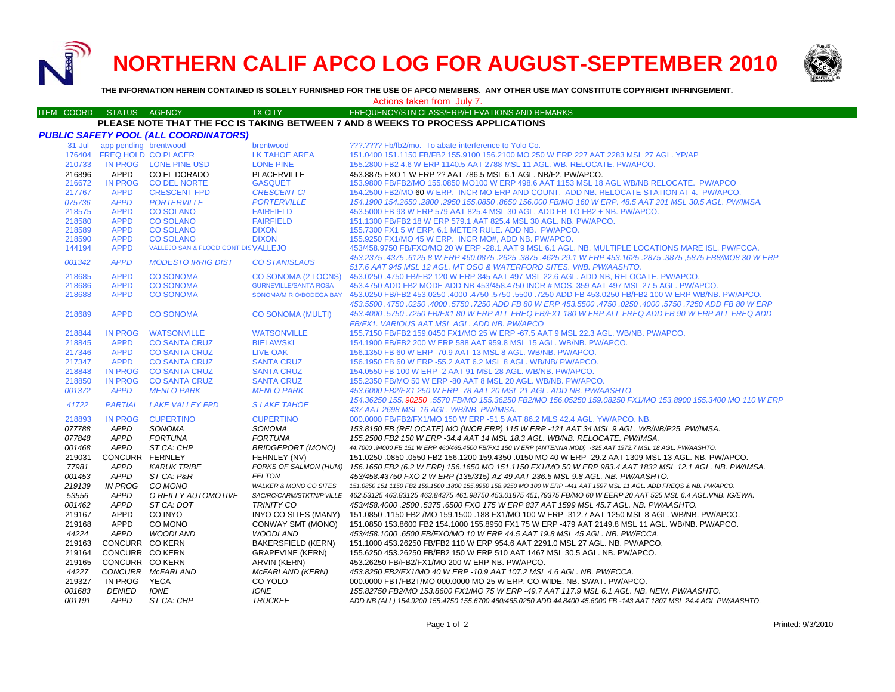**NORTHERN CALIF APCO LOG FOR AUGUST-SEPTEMBER 2010**



**THE INFORMATION HEREIN CONTAINED IS SOLELY FURNISHED FOR THE USE OF APCO MEMBERS. ANY OTHER USE MAY CONSTITUTE COPYRIGHT INFRINGEMENT.**

### Actions taken from July 7.

#### ITEM COORD STATUS AGENCY TX CITY TIREQUENCY/STN CLASS/ERP/ELEVATIONS AND REMARKS **PLEASE NOTE THAT THE FCC IS TAKING BETWEEN 7 AND 8 WEEKS TO PROCESS APPLICATIONS**

|            |                            | PUBLIC SAFETY POOL (ALL COORDINATORS) |                                   |                                                                                                                               |
|------------|----------------------------|---------------------------------------|-----------------------------------|-------------------------------------------------------------------------------------------------------------------------------|
| $31 -$ Jul | app pending brentwood      |                                       | brentwood                         | ???.???? Fb/fb2/mo. To abate interference to Yolo Co.                                                                         |
| 176404     | <b>FREQ HOLD CO PLACER</b> |                                       | <b>LK TAHOE AREA</b>              | 151.0400 151.1150 FB/FB2 155.9100 156.2100 MO 250 W ERP 227 AAT 2283 MSL 27 AGL. YP/AP                                        |
| 210733     |                            | IN PROG LONE PINE USD                 | <b>LONE PINE</b>                  | 155.2800 FB2 4.6 W ERP 1140.5 AAT 2788 MSL 11 AGL. WB. RELOCATE. PW/APCO.                                                     |
| 216896     | APPD                       | CO EL DORADO                          | PLACERVILLE                       | 453.8875 FXO 1 W ERP ?? AAT 786.5 MSL 6.1 AGL. NB/F2. PW/APCO.                                                                |
| 216672     | <b>IN PROG</b>             | <b>CO DEL NORTE</b>                   | <b>GASQUET</b>                    | 153.9800 FB/FB2/MO 155.0850 MO100 W ERP 498.6 AAT 1153 MSL 18 AGL WB/NB RELOCATE. PW/APCO                                     |
| 217767     | <b>APPD</b>                | <b>CRESCENT FPD</b>                   | <b>CRESCENT CI</b>                | 154.2500 FB2/MO 60 W ERP. INCR MO ERP AND COUNT. ADD NB. RELOCATE STATION AT 4. PW/APCO.                                      |
| 075736     | <b>APPD</b>                | <b>PORTERVILLE</b>                    | <b>PORTERVILLE</b>                | 154.1900 154.2650 .2800 .2950 155.0850 .8650 156.000 FB/MO 160 W ERP. 48.5 AAT 201 MSL 30.5 AGL. PW/IMSA.                     |
| 218575     | <b>APPD</b>                | <b>CO SOLANO</b>                      | <b>FAIRFIELD</b>                  | 453,5000 FB 93 W ERP 579 AAT 825.4 MSL 30 AGL, ADD FB TO FB2 + NB, PW/APCO,                                                   |
| 218580     | <b>APPD</b>                | <b>CO SOLANO</b>                      | <b>FAIRFIELD</b>                  | 151.1300 FB/FB2 18 W ERP 579.1 AAT 825.4 MSL 30 AGL, NB, PW/APCO,                                                             |
| 218589     | <b>APPD</b>                | <b>CO SOLANO</b>                      | <b>DIXON</b>                      | 155,7300 FX1 5 W ERP, 6.1 METER RULE, ADD NB. PW/APCO.                                                                        |
| 218590     | <b>APPD</b>                | <b>CO SOLANO</b>                      | <b>DIXON</b>                      | 155.9250 FX1/MO 45 W ERP. INCR MO#, ADD NB. PW/APCO.                                                                          |
| 144194     | <b>APPD</b>                | VALLEJO SAN & FLOOD CONT DIS VALLEJO  |                                   | 453/458.9750 FB/FXO/MO 20 W ERP -28.1 AAT 9 MSL 6.1 AGL. NB. MULTIPLE LOCATIONS MARE ISL. PW/FCCA.                            |
|            |                            |                                       |                                   | 453.2375 .4375 .6125 8 W ERP 460.0875 .2625 .3875 .4625 29.1 W ERP 453.1625 .2875 .3875 .5875 FB8/MO8 30 W ERP                |
| 001342     | <b>APPD</b>                | <b>MODESTO IRRIG DIST</b>             | <b>CO STANISLAUS</b>              | 517.6 AAT 945 MSL 12 AGL. MT OSO & WATERFORD SITES. VNB. PW/AASHTO.                                                           |
| 218685     | <b>APPD</b>                | <b>CO SONOMA</b>                      | CO SONOMA (2 LOCNS)               | 453.0250 .4750 FB/FB2 120 W ERP 345 AAT 497 MSL 22.6 AGL. ADD NB, RELOCATE. PW/APCO.                                          |
| 218686     | <b>APPD</b>                | <b>CO SONOMA</b>                      | <b>GURNEVILLE/SANTA ROSA</b>      | 453.4750 ADD FB2 MODE ADD NB 453/458.4750 INCR # MOS. 359 AAT 497 MSL 27.5 AGL. PW/APCO.                                      |
| 218688     | <b>APPD</b>                | <b>CO SONOMA</b>                      | SONOMA/M RIO/BODEGA BAY           | 453.0250 FB/FB2 453.0250 FB/FB2 100 W ERP WB/NB. PW/APCO. 4750 .4000 .4750 .5750 .5750 .5750 .5750 453.0250 FB                |
|            |                            |                                       |                                   | 453.5500 .4750 .0250 ADD FB 80 W ERP 453.5500 .4750 .0250 .0250 .4000 .5750 .0250 .4000 .4750 .0250 .                         |
| 218689     | <b>APPD</b>                | <b>CO SONOMA</b>                      | <b>CO SONOMA (MULTI)</b>          | 453.4000 .5750 .7250 FB/FX1 80 W ERP ALL FREQ FB/FX1 180 W ERP ALL FREQ ADD FB 90 W ERP ALL FREQ ADD                          |
|            |                            |                                       |                                   | FB/FX1. VARIOUS AAT MSL AGL. ADD NB. PW/APCO                                                                                  |
| 218844     | <b>IN PROG</b>             | <b>WATSONVILLE</b>                    | <b>WATSONVILLE</b>                | 155.7150 FB/FB2 159.0450 FX1/MO 25 W ERP -67.5 AAT 9 MSL 22.3 AGL. WB/NB. PW/APCO.                                            |
| 218845     | <b>APPD</b>                | <b>CO SANTA CRUZ</b>                  | <b>BIELAWSKI</b>                  | 154.1900 FB/FB2 200 W ERP 588 AAT 959.8 MSL 15 AGL, WB/NB, PW/APCO,                                                           |
| 217346     | <b>APPD</b>                | <b>CO SANTA CRUZ</b>                  | LIVE OAK                          | 156.1350 FB 60 W ERP -70.9 AAT 13 MSL 8 AGL. WB/NB. PW/APCO.                                                                  |
| 217347     | <b>APPD</b>                | <b>CO SANTA CRUZ</b>                  | <b>SANTA CRUZ</b>                 | 156.1950 FB 60 W ERP -55.2 AAT 6.2 MSL 8 AGL. WB/NB/ PW/APCO.                                                                 |
| 218848     | <b>IN PROG</b>             | <b>CO SANTA CRUZ</b>                  | <b>SANTA CRUZ</b>                 | 154,0550 FB 100 W ERP -2 AAT 91 MSL 28 AGL, WB/NB, PW/APCO,                                                                   |
| 218850     | <b>IN PROG</b>             | <b>CO SANTA CRUZ</b>                  | <b>SANTA CRUZ</b>                 | 155.2350 FB/MO 50 W ERP -80 AAT 8 MSL 20 AGL. WB/NB. PW/APCO.                                                                 |
| 001372     | <b>APPD</b>                | <b>MENLO PARK</b>                     | <b>MENLO PARK</b>                 | 453,6000 FB2/FX1 250 W ERP -78 AAT 20 MSL 21 AGL, ADD NB, PW/AASHTO.                                                          |
|            |                            |                                       |                                   | 154.36250 155.90250 .5570 FB/MO 155.36250 FB2/MO 156.05250 159.08250 FX1/MO 153.8900 155.3400 MO 110 W ERP                    |
| 41722      | <b>PARTIAL</b>             | <b>LAKE VALLEY FPD</b>                | <b>SLAKE TAHOE</b>                | 437 AAT 2698 MSL 16 AGL. WB/NB. PW/IMSA.                                                                                      |
| 218893     | <b>IN PROG</b>             | <b>CUPERTINO</b>                      | <b>CUPERTINO</b>                  | 000.0000 FB/FB2/FX1/MO 150 W ERP -51.5 AAT 86.2 MLS 42.4 AGL. YW/APCO. NB.                                                    |
| 077788     | <b>APPD</b>                | SONOMA                                | SONOMA                            | 153.8150 FB (RELOCATE) MO (INCR ERP) 115 W ERP -121 AAT 34 MSL 9 AGL. WB/NB/P25. PW/IMSA.                                     |
| 077848     | <b>APPD</b>                | <b>FORTUNA</b>                        | <b>FORTUNA</b>                    | 155.2500 FB2 150 W ERP -34.4 AAT 14 MSL 18.3 AGL. WB/NB. RELOCATE. PW/IMSA.                                                   |
| 001468     | APPD                       | ST CA: CHP                            | <b>BRIDGEPORT (MONO)</b>          | 44.7000 .94000 FB 151 W ERP 460/465.4500 FB/FX1 150 W ERP (ANTENNA MOD) -325 AAT 1972.7 MSL 18 AGL. PW/AASHTO.                |
| 219031     | CONCURR FERNLEY            |                                       | FERNLEY (NV)                      | 151.0250 .0850 .0550 FB2 156.1200 159.4350 .0150 MO 40 W ERP -29.2 AAT 1309 MSL 13 AGL. NB. PW/APCO.                          |
| 77981      | <b>APPD</b>                | <b>KARUK TRIBE</b>                    |                                   | FORKS OF SALMON (HUM) 156.1650 FB2 (6.2 W ERP) 156.1650 MO 151.1150 FX1/MO 50 W ERP 983.4 AAT 1832 MSL 12.1 AGL. NB. PW/IMSA. |
| 001453     | APPD                       | ST CA: P&R                            | <b>FELTON</b>                     | 453/458.43750 FXO 2 W ERP (135/315) AZ 49 AAT 236.5 MSL 9.8 AGL. NB. PW/AASHTO.                                               |
| 219139     | <b>IN PROG</b>             | CO MONO                               | <b>WALKER &amp; MONO CO SITES</b> | 151.0850 151.1150 FB2 159.1500 .1800 155.8950 158.9250 MO 100 W ERP -441 AAT 1597 MSL 11 AGL. ADD FREQS & NB. PW/APCO.        |
| 53556      | <b>APPD</b>                | O REILLY AUTOMOTIVE                   | SAC/RC/CARM/STKTN/P'VILLE         | 462.53125 463.83125 463.84375 461.98750 453.01875 451,79375 FB/MO 60 W EERP 20 AAT 525 MSL 6.4 AGL.VNB. IG/EWA.               |
| 001462     | <b>APPD</b>                | ST CA: DOT                            | <b>TRINITY CO</b>                 | 453/458.4000.2500.5375.6500 FXO 175 W ERP 837 AAT 1599 MSL 45.7 AGL. NB. PW/AASHTO.                                           |
| 219167     | APPD                       | CO INYO                               | INYO CO SITES (MANY)              | 151.0850 .1150 FB2 /MO 159.1500 .188 FX1/MO 100 W ERP -312.7 AAT 1250 MSL 8 AGL. WB/NB. PW/APCO.                              |
| 219168     | APPD                       | CO MONO                               | CONWAY SMT (MONO)                 | 151.0850 153.8600 FB2 154.1000 155.8950 FX1 75 W ERP -479 AAT 2149.8 MSL 11 AGL. WB/NB. PW/APCO.                              |
| 44224      | <b>APPD</b>                | <b>WOODLAND</b>                       | <b>WOODLAND</b>                   | 453/458.1000.6500 FB/FXO/MO 10 W ERP 44.5 AAT 19.8 MSL 45 AGL. NB. PW/FCCA.                                                   |
| 219163     | CONCURR CO KERN            |                                       | <b>BAKERSFIELD (KERN)</b>         | 151.1000 453.26250 FB/FB2 110 W ERP 954.6 AAT 2291.0 MSL 27 AGL. NB. PW/APCO.                                                 |
| 219164     | CONCURR CO KERN            |                                       | <b>GRAPEVINE (KERN)</b>           | 155.6250 453.26250 FB/FB2 150 W ERP 510 AAT 1467 MSL 30.5 AGL. NB. PW/APCO.                                                   |
| 219165     | CONCURR CO KERN            |                                       | <b>ARVIN (KERN)</b>               | 453.26250 FB/FB2/FX1/MO 200 W ERP NB, PW/APCO,                                                                                |
| 44227      |                            | CONCURR McFARLAND                     | <b>MCFARLAND (KERN)</b>           | 453.8250 FB2/FX1/MO 40 W ERP -10.9 AAT 107.2 MSL 4.6 AGL. NB. PW/FCCA.                                                        |
| 219327     | IN PROG                    | YECA                                  | CO YOLO                           | 000.0000 FBT/FB2T/MO 000.0000 MO 25 W ERP. CO-WIDE. NB. SWAT. PW/APCO.                                                        |
| 001683     | <b>DENIED</b>              | <b>IONE</b>                           | <b>IONE</b>                       | 155.82750 FB2/MO 153.8600 FX1/MO 75 W ERP -49.7 AAT 117.9 MSL 6.1 AGL. NB. NEW. PW/AASHTO.                                    |
| 001191     | <b>APPD</b>                | ST CA: CHP                            | <b>TRUCKEE</b>                    | ADD NB (ALL) 154.9200 155.4750 155.6700 460/465.0250 ADD 44.8400 45.6000 FB -143 AAT 1807 MSL 24.4 AGL PW/AASHTO.             |
|            |                            |                                       |                                   |                                                                                                                               |